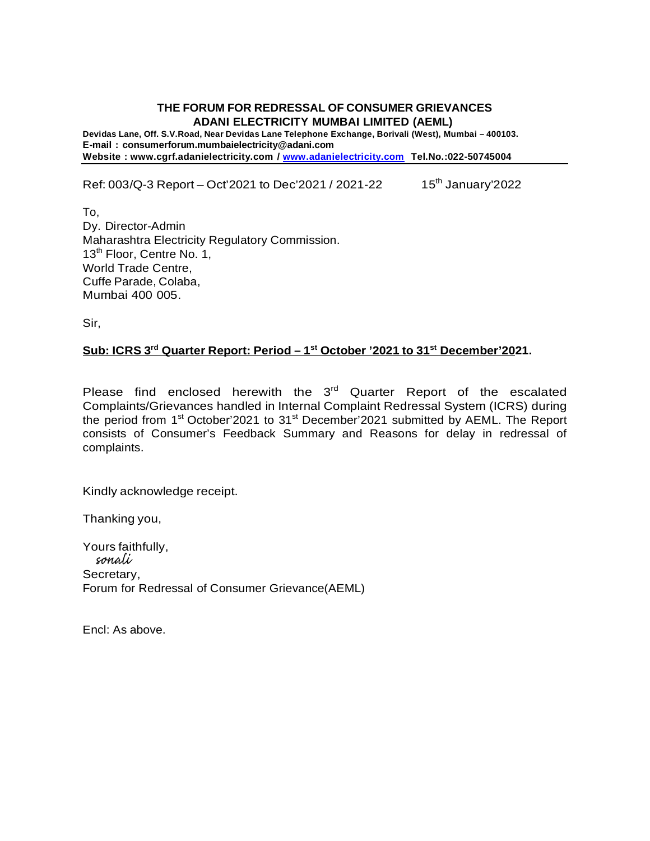## **THE FORUM FOR REDRESSAL OF CONSUMER GRIEVANCES ADANI ELECTRICITY MUMBAI LIMITED (AEML)**

**Devidas Lane, Off. S.V.Road, Near Devidas Lane Telephone Exchange, Borivali (West), Mumbai – 400103. E-mail : consumerforum.mumbaielectricity@adani.com Website : www.cgrf.adanielectricity.com / www.adanielectricity.com Tel.No.:022-50745004**

Ref: 003/Q-3 Report – Oct'2021 to Dec'2021 / 2021-22 15<sup>th</sup> January'2022

To, Dy. Director-Admin Maharashtra Electricity Regulatory Commission. 13<sup>th</sup> Floor, Centre No. 1, World Trade Centre, Cuffe Parade, Colaba, Mumbai 400 005.

Sir,

## **Sub: ICRS 3 rd Quarter Report: Period – 1 st October '2021 to 31st December'2021.**

Please find enclosed herewith the 3<sup>rd</sup> Quarter Report of the escalated Complaints/Grievances handled in Internal Complaint Redressal System (ICRS) during the period from 1<sup>st</sup> October'2021 to 31<sup>st</sup> December'2021 submitted by AEML. The Report consists of Consumer's Feedback Summary and Reasons for delay in redressal of complaints.

Kindly acknowledge receipt.

Thanking you,

Yours faithfully,<br>sonali Secretary, Forum for Redressal of Consumer Grievance(AEML)

Encl: As above.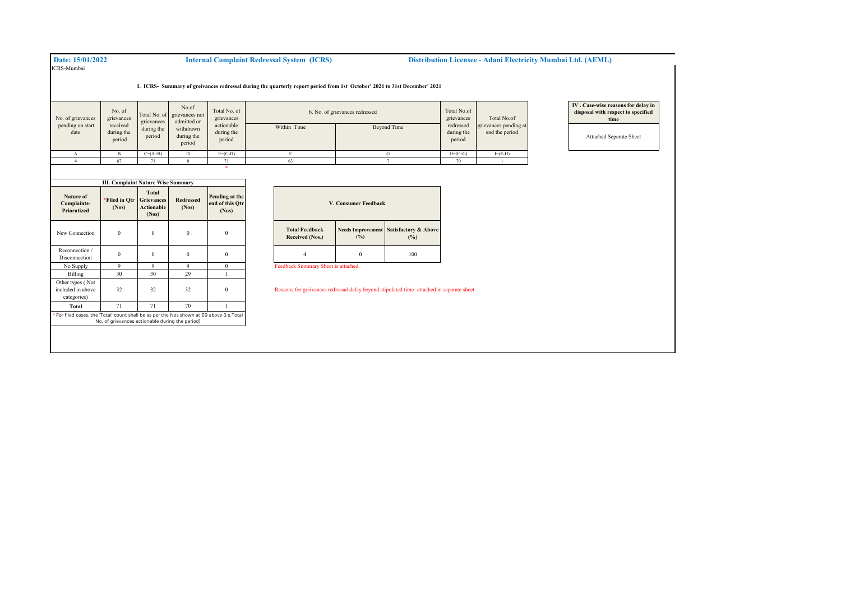## ICRS-Mumbai

\*

 **Date: 15/01/2022 Internal Complaint Redressal System (ICRS) Distribution Licensee - Adani Electricity Mumbai Ltd. (AEML)** 

**I. ICRS- Summary of greivances redressal during the quarterly report period from 1st October' 2021 to 31st December' 2021** 

| No. of grievances<br>pending on start<br>date | No. of<br>grievances<br>received<br>during the<br>period | grievances<br>during the<br>period | No.of<br>Total No. of grievances not<br>admitted or<br>withdrawn<br>during the | Total No. of<br>grievances<br>actionable<br>during the<br>period | b. No. of grievances redressed<br>Within Time | Total No.of<br>grievances<br>redressed<br>during the<br>period | Total No.of<br>grievances pending at<br>end the period |           |
|-----------------------------------------------|----------------------------------------------------------|------------------------------------|--------------------------------------------------------------------------------|------------------------------------------------------------------|-----------------------------------------------|----------------------------------------------------------------|--------------------------------------------------------|-----------|
|                                               |                                                          |                                    | period                                                                         |                                                                  |                                               |                                                                |                                                        |           |
|                                               |                                                          | $C=(A+B)$                          | D                                                                              | $E=(C-D)$                                                        |                                               |                                                                | $H=(F+G)$                                              | $I=(E-H)$ |
|                                               | 67                                                       |                                    |                                                                                | 71                                                               | 63                                            |                                                                | 70                                                     |           |

| <b>III. Complaint Nature Wise Summary</b>                                                 |                                                 |                                                          |                           |                                            |  |  |
|-------------------------------------------------------------------------------------------|-------------------------------------------------|----------------------------------------------------------|---------------------------|--------------------------------------------|--|--|
| Nature of<br>Complaints-<br>Prioratized                                                   | *Filed in Otr<br>(Nos)                          | Total<br><b>Grievances</b><br><b>Actionable</b><br>(Nos) | <b>Redressed</b><br>(Nos) | Pending at the<br>end of this Otr<br>(Nos) |  |  |
| New Connection                                                                            | $\theta$                                        | $\mathbf{0}$                                             | $\mathbf{0}$              | $\Omega$                                   |  |  |
| Reconnection /<br>Disconnection                                                           | $\Omega$                                        | $\Omega$                                                 | $\Omega$                  | $\theta$                                   |  |  |
| No Supply                                                                                 | 9                                               | 9                                                        | 9                         | $\mathbf{0}$                               |  |  |
| Billing                                                                                   | 30                                              | 30                                                       | 29                        |                                            |  |  |
| Other types (Not<br>included in above<br>categories)                                      | 32                                              | 32                                                       | 32                        | $\Omega$                                   |  |  |
| Total                                                                                     | 71                                              | 71                                                       | 70                        |                                            |  |  |
| * For filed cases, the 'Total' count shall be as per the Nos shown at E9 above (i.e.Total | No. of grievances actionable during the period) |                                                          |                           |                                            |  |  |

| V. Consumer Feedback                     |     |                                                          |  |  |  |  |
|------------------------------------------|-----|----------------------------------------------------------|--|--|--|--|
| <b>Total Feedback</b><br>Received (Nos.) | (%) | <b>Needs Improvement Satisfactory &amp; Above</b><br>(%) |  |  |  |  |
|                                          |     | 100                                                      |  |  |  |  |

Reasons for greivances redressal delay beyond stipulated time- attached in separate sheet

**IV . Case-wise reasons for delay in disposal with respect to specified time**

Attached Separate Sheet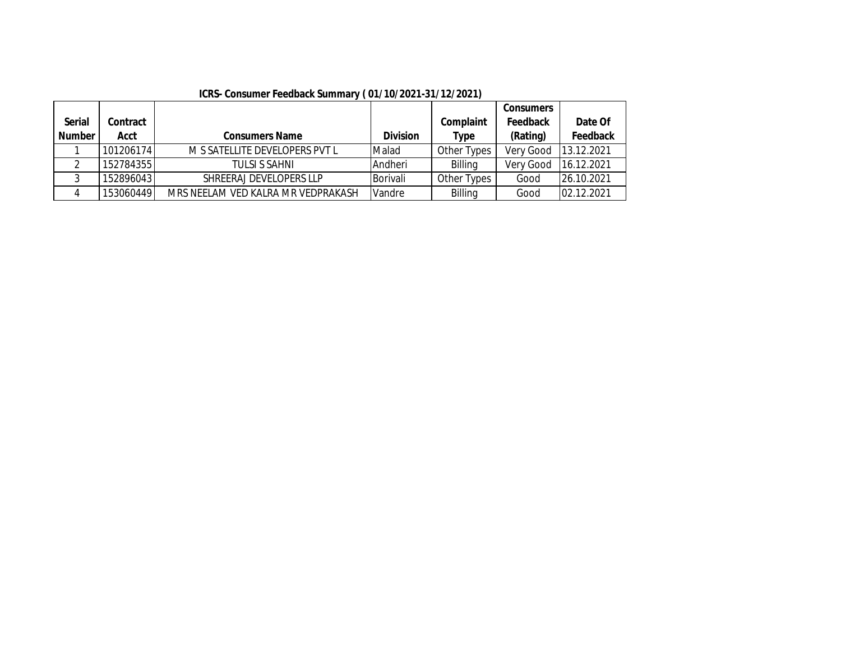|               |           |                                    |                 |                | <b>Consumers</b> |            |
|---------------|-----------|------------------------------------|-----------------|----------------|------------------|------------|
| <b>Serial</b> | Contract  |                                    |                 | Complaint      | <b>Feedback</b>  | Date Of    |
| <b>Number</b> | Acct      | <b>Consumers Name</b>              | <b>Division</b> | Type           | (Rating)         | Feedback   |
|               | 101206174 | M S SATELLITE DEVELOPERS PVT L     | Malad           | Other Types    | Very Good        | 13.12.2021 |
|               | 152784355 | TULSI S SAHNI                      | Andheri         | Billing        | Very Good        | 16.12.2021 |
|               | 152896043 | SHREERAJ DEVELOPERS LLP            | Borivali        | Other Types    | Good             | 26.10.2021 |
|               | 153060449 | MRS NEELAM VED KALRA MR VEDPRAKASH | Vandre          | <b>Billing</b> | Good             | 02.12.2021 |

**ICRS- Consumer Feedback Summary ( 01/10/2021-31/12/2021)**